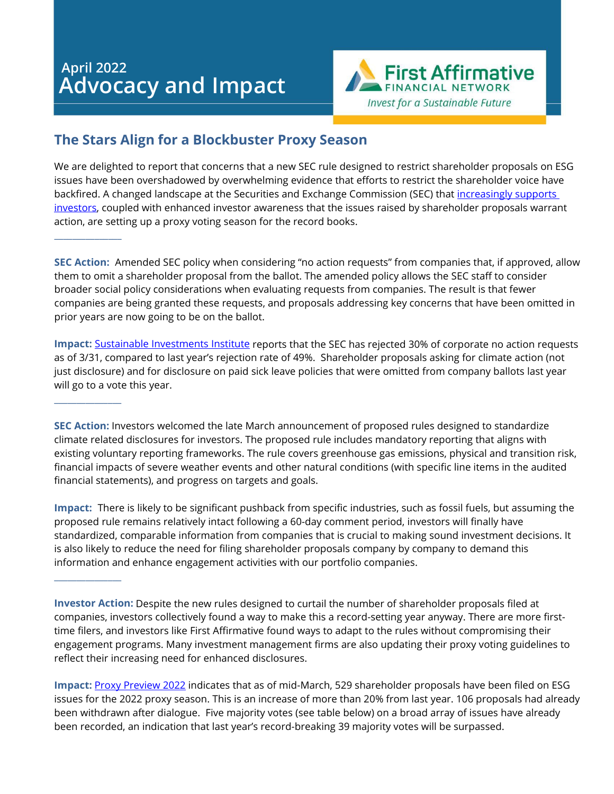# **April 2022 Advocacy and Impact**

\_\_\_\_\_\_\_\_\_\_\_\_\_\_\_

 $\overline{\phantom{a}}$ 

 $\overline{\phantom{a}}$ 



## **The Stars Align for a Blockbuster Proxy Season**

We are delighted to report that concerns that a new SEC rule designed to restrict shareholder proposals on ESG issues have been overshadowed by overwhelming evidence that efforts to restrict the shareholder voice have backfired. A changed landscape at the Securities and Exchange Commission (SEC) that [increasingly supports](https://news.bloomberglaw.com/employee-benefits/shareholders-up-climate-social-demands-after-sec-policy-shift)  [investors,](https://news.bloomberglaw.com/employee-benefits/shareholders-up-climate-social-demands-after-sec-policy-shift) coupled with enhanced investor awareness that the issues raised by shareholder proposals warrant action, are setting up a proxy voting season for the record books.

**SEC Action:** Amended SEC policy when considering "no action requests" from companies that, if approved, allow them to omit a shareholder proposal from the ballot. The amended policy allows the SEC staff to consider broader social policy considerations when evaluating requests from companies. The result is that fewer companies are being granted these requests, and proposals addressing key concerns that have been omitted in prior years are now going to be on the ballot.

**Impact:** [Sustainable Investments Institute](https://siinstitute.org/press-release.php?id=41) reports that the SEC has rejected 30% of corporate no action requests as of 3/31, compared to last year's rejection rate of 49%. Shareholder proposals asking for climate action (not just disclosure) and for disclosure on paid sick leave policies that were omitted from company ballots last year will go to a vote this year.

**SEC Action:** Investors welcomed the late March announcement of proposed rules designed to standardize climate related disclosures for investors. The proposed rule includes mandatory reporting that aligns with existing voluntary reporting frameworks. The rule covers greenhouse gas emissions, physical and transition risk, financial impacts of severe weather events and other natural conditions (with specific line items in the audited financial statements), and progress on targets and goals.

**Impact:** There is likely to be significant pushback from specific industries, such as fossil fuels, but assuming the proposed rule remains relatively intact following a 60-day comment period, investors will finally have standardized, comparable information from companies that is crucial to making sound investment decisions. It is also likely to reduce the need for filing shareholder proposals company by company to demand this information and enhance engagement activities with our portfolio companies.

**Investor Action:** Despite the new rules designed to curtail the number of shareholder proposals filed at companies, investors collectively found a way to make this a record-setting year anyway. There are more firsttime filers, and investors like First Affirmative found ways to adapt to the rules without compromising their engagement programs. Many investment management firms are also updating their proxy voting guidelines to reflect their increasing need for enhanced disclosures.

**Impact:** [Proxy Preview 2022](https://www.asyousow.org/reports/proxy-preview-2022) indicates that as of mid-March, 529 shareholder proposals have been filed on ESG issues for the 2022 proxy season. This is an increase of more than 20% from last year. 106 proposals had already been withdrawn after dialogue. Five majority votes (see table below) on a broad array of issues have already been recorded, an indication that last year's record-breaking 39 majority votes will be surpassed.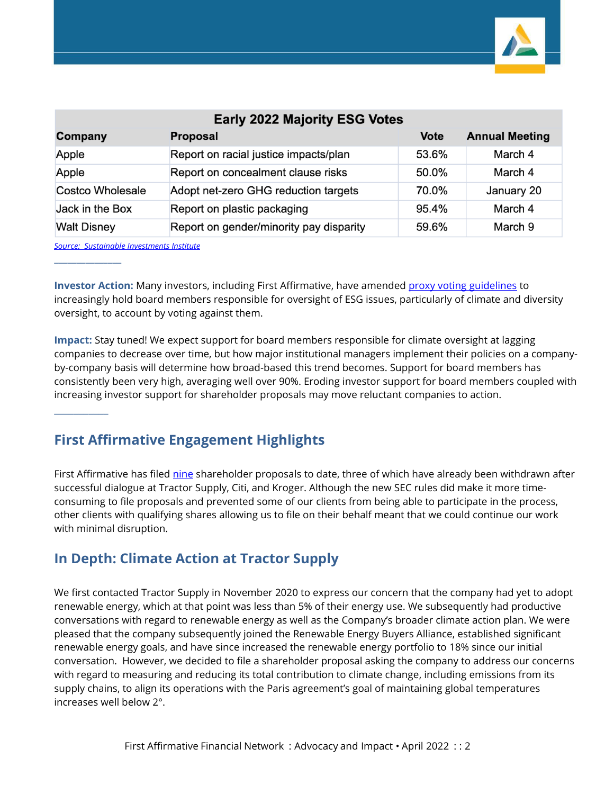

| <b>Early 2022 Majority ESG Votes</b> |                                         |             |                       |
|--------------------------------------|-----------------------------------------|-------------|-----------------------|
| Company                              | <b>Proposal</b>                         | <b>Vote</b> | <b>Annual Meeting</b> |
| Apple                                | Report on racial justice impacts/plan   | 53.6%       | March 4               |
| Apple                                | Report on concealment clause risks      | 50.0%       | March 4               |
| Costco Wholesale                     | Adopt net-zero GHG reduction targets    | 70.0%       | January 20            |
| Jack in the Box                      | Report on plastic packaging             | 95.4%       | March 4               |
| <b>Walt Disney</b>                   | Report on gender/minority pay disparity | 59.6%       | March 9               |

*[Source: Sustainable Investments Institute](https://siinstitute.org/press/2022/Proxy_Preview_2022_Press_Release__3_17_22_pdf)*

 $\overline{\phantom{a}}$ 

\_\_\_\_\_\_\_\_\_\_\_

**Investor Action:** Many investors, including First Affirmative, have amended [proxy voting guidelines](https://www.firstaffirmative.com/wp-content/uploads/2022/03/2022-Proxy-Voting-Guiedelines-Final-eff-0201222-2.pdf) to increasingly hold board members responsible for oversight of ESG issues, particularly of climate and diversity oversight, to account by voting against them.

**Impact:** Stay tuned! We expect support for board members responsible for climate oversight at lagging companies to decrease over time, but how major institutional managers implement their policies on a companyby-company basis will determine how broad-based this trend becomes. Support for board members has consistently been very high, averaging well over 90%. Eroding investor support for board members coupled with increasing investor support for shareholder proposals may move reluctant companies to action.

## **First Affirmative Engagement Highlights**

First Affirmative has filed [nine](file://fafn-dc/Users/jenniferwaterman/2022/Advocacy%20and%20Impact%20Update%202Q%20commentary/Advocacy-Resolution-Update-20220331.html) shareholder proposals to date, three of which have already been withdrawn after successful dialogue at Tractor Supply, Citi, and Kroger. Although the new SEC rules did make it more timeconsuming to file proposals and prevented some of our clients from being able to participate in the process, other clients with qualifying shares allowing us to file on their behalf meant that we could continue our work with minimal disruption.

## **In Depth: Climate Action at Tractor Supply**

We first contacted Tractor Supply in November 2020 to express our concern that the company had yet to adopt renewable energy, which at that point was less than 5% of their energy use. We subsequently had productive conversations with regard to renewable energy as well as the Company's broader climate action plan. We were pleased that the company subsequently joined the Renewable Energy Buyers Alliance, established significant renewable energy goals, and have since increased the renewable energy portfolio to 18% since our initial conversation. However, we decided to file a shareholder proposal asking the company to address our concerns with regard to measuring and reducing its total contribution to climate change, including emissions from its supply chains, to align its operations with the Paris agreement's goal of maintaining global temperatures increases well below 2°.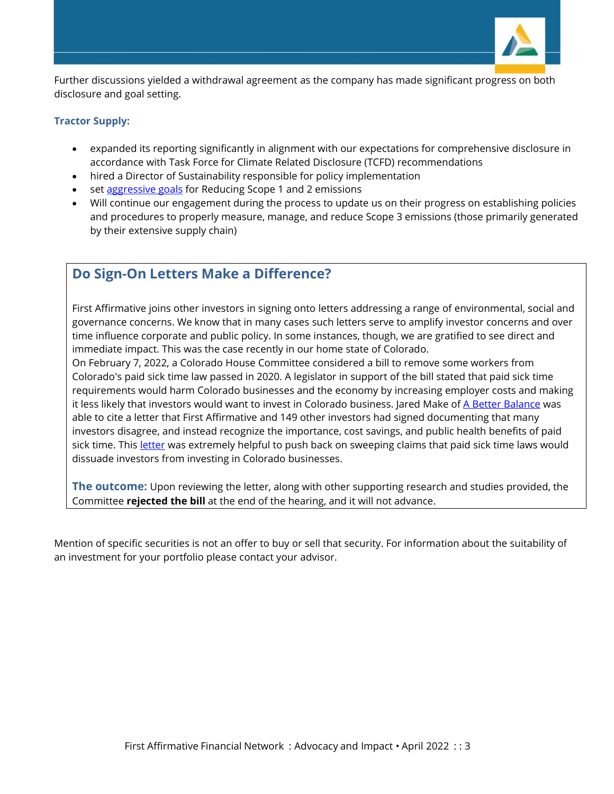

Further discussions yielded a withdrawal agreement as the company has made significant progress on both disclosure and goal setting.

#### **Tractor Supply:**

- expanded its reporting significantly in alignment with our expectations for comprehensive disclosure in accordance with Task Force for Climate Related Disclosure (TCFD) recommendations
- hired a Director of Sustainability responsible for policy implementation
- set [aggressive goals](https://corporate.tractorsupply.com/ESG/ESGGoals/default.aspx) for Reducing Scope 1 and 2 emissions
- Will continue our engagement during the process to update us on their progress on establishing policies and procedures to properly measure, manage, and reduce Scope 3 emissions (those primarily generated by their extensive supply chain)

## **Do Sign-On Letters Make a Difference?**

First Affirmative joins other investors in signing onto letters addressing a range of environmental, social and governance concerns. We know that in many cases such letters serve to amplify investor concerns and over time influence corporate and public policy. In some instances, though, we are gratified to see direct and immediate impact. This was the case recently in our home state of Colorado.

On February 7, 2022, a Colorado House Committee considered a bill to remove some workers from Colorado's paid sick time law passed in 2020. A legislator in support of the bill stated that paid sick time requirements would harm Colorado businesses and the economy by increasing employer costs and making it less likely that investors would want to invest in Colorado business. Jared Make of [A Better Balance](https://www.abetterbalance.org/) was able to cite a letter that First Affirmative and 149 other investors had signed documenting that many investors disagree, and instead recognize the importance, cost savings, and public health benefits of paid sick time. Thi[s letter](https://www.iccr.org/sites/default/files/blog_attachments/investor_engagement_letter_on_paid_sick_leave_-_final12600.pdf) was extremely helpful to push back on sweeping claims that paid sick time laws would dissuade investors from investing in Colorado businesses.

**The outcome:** Upon reviewing the letter, along with other supporting research and studies provided, the Committee **rejected the bill** at the end of the hearing, and it will not advance.

Mention of specific securities is not an offer to buy or sell that security. For information about the suitability of an investment for your portfolio please contact your advisor.